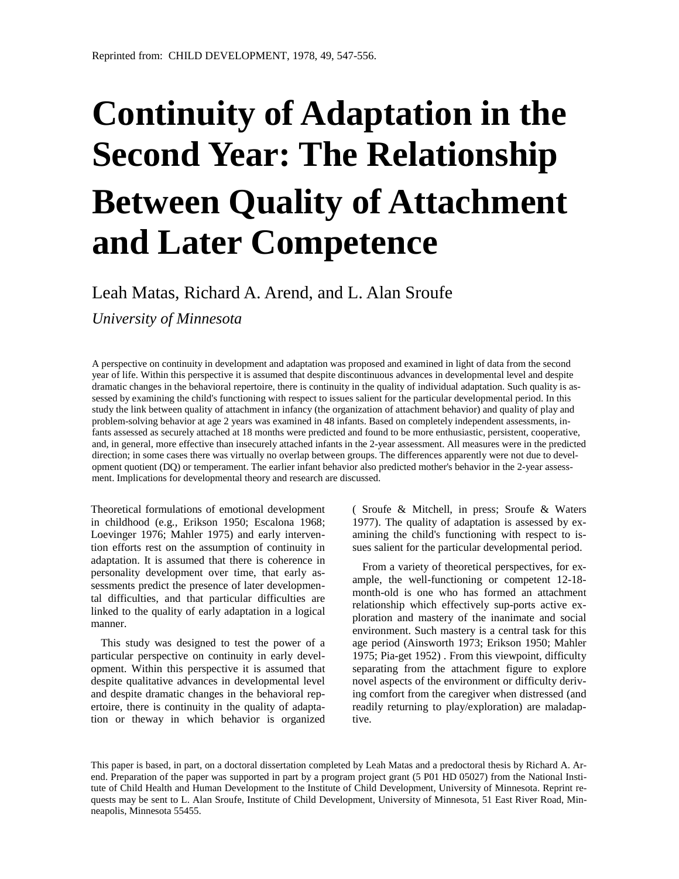# **Continuity of Adaptation in the Second Year: The Relationship Between Quality of Attachment and Later Competence**

Leah Matas, Richard A. Arend, and L. Alan Sroufe

*University of Minnesota* 

A perspective on continuity in development and adaptation was proposed and examined in light of data from the second year of life. Within this perspective it is assumed that despite discontinuous advances in developmental level and despite dramatic changes in the behavioral repertoire, there is continuity in the quality of individual adaptation. Such quality is assessed by examining the child's functioning with respect to issues salient for the particular developmental period. In this study the link between quality of attachment in infancy (the organization of attachment behavior) and quality of play and problem-solving behavior at age 2 years was examined in 48 infants. Based on completely independent assessments, infants assessed as securely attached at 18 months were predicted and found to be more enthusiastic, persistent, cooperative, and, in general, more effective than insecurely attached infants in the 2-year assessment. All measures were in the predicted direction; in some cases there was virtually no overlap between groups. The differences apparently were not due to development quotient (DQ) or temperament. The earlier infant behavior also predicted mother's behavior in the 2-year assessment. Implications for developmental theory and research are discussed.

Theoretical formulations of emotional development in childhood (e.g., Erikson 1950; Escalona 1968; Loevinger 1976; Mahler 1975) and early intervention efforts rest on the assumption of continuity in adaptation. It is assumed that there is coherence in personality development over time, that early assessments predict the presence of later developmental difficulties, and that particular difficulties are linked to the quality of early adaptation in a logical manner.

This study was designed to test the power of a particular perspective on continuity in early development. Within this perspective it is assumed that despite qualitative advances in developmental level and despite dramatic changes in the behavioral repertoire, there is continuity in the quality of adaptation or theway in which behavior is organized ( Sroufe & Mitchell, in press; Sroufe & Waters 1977). The quality of adaptation is assessed by examining the child's functioning with respect to issues salient for the particular developmental period.

From a variety of theoretical perspectives, for example, the well-functioning or competent 12-18 month-old is one who has formed an attachment relationship which effectively sup-ports active exploration and mastery of the inanimate and social environment. Such mastery is a central task for this age period (Ainsworth 1973; Erikson 1950; Mahler 1975; Pia-get 1952) . From this viewpoint, difficulty separating from the attachment figure to explore novel aspects of the environment or difficulty deriving comfort from the caregiver when distressed (and readily returning to play/exploration) are maladaptive.

This paper is based, in part, on a doctoral dissertation completed by Leah Matas and a predoctoral thesis by Richard A. Arend. Preparation of the paper was supported in part by a program project grant (5 P01 HD 05027) from the National Institute of Child Health and Human Development to the Institute of Child Development, University of Minnesota. Reprint requests may be sent to L. Alan Sroufe, Institute of Child Development, University of Minnesota, 51 East River Road, Minneapolis, Minnesota 55455.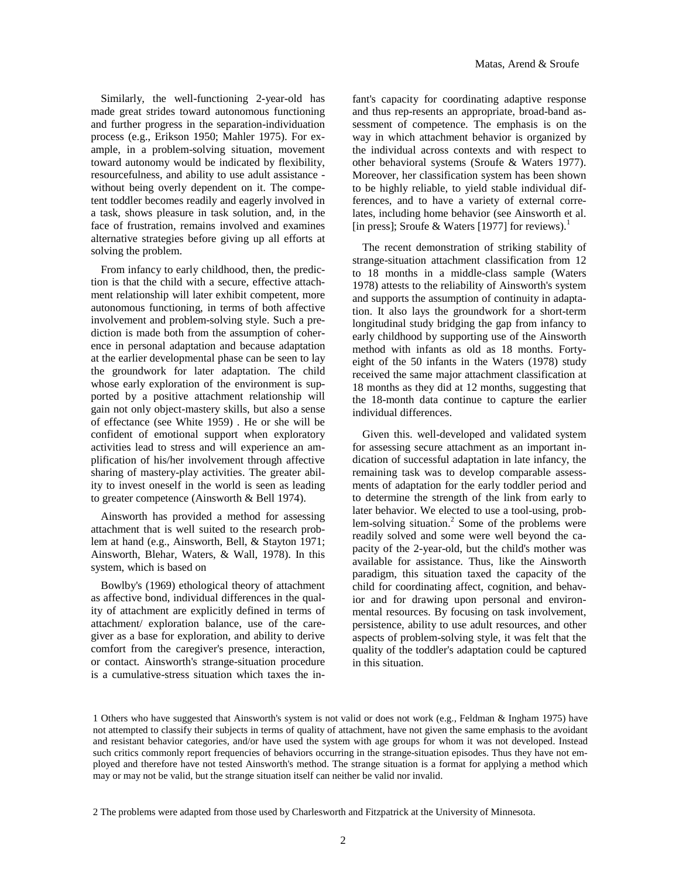Similarly, the well-functioning 2-year-old has made great strides toward autonomous functioning and further progress in the separation-individuation process (e.g., Erikson 1950; Mahler 1975). For example, in a problem-solving situation, movement toward autonomy would be indicated by flexibility, resourcefulness, and ability to use adult assistance without being overly dependent on it. The competent toddler becomes readily and eagerly involved in a task, shows pleasure in task solution, and, in the face of frustration, remains involved and examines alternative strategies before giving up all efforts at solving the problem.

From infancy to early childhood, then, the prediction is that the child with a secure, effective attachment relationship will later exhibit competent, more autonomous functioning, in terms of both affective involvement and problem-solving style. Such a prediction is made both from the assumption of coherence in personal adaptation and because adaptation at the earlier developmental phase can be seen to lay the groundwork for later adaptation. The child whose early exploration of the environment is supported by a positive attachment relationship will gain not only object-mastery skills, but also a sense of effectance (see White 1959) . He or she will be confident of emotional support when exploratory activities lead to stress and will experience an amplification of his/her involvement through affective sharing of mastery-play activities. The greater ability to invest oneself in the world is seen as leading to greater competence (Ainsworth & Bell 1974).

Ainsworth has provided a method for assessing attachment that is well suited to the research problem at hand (e.g., Ainsworth, Bell, & Stayton 1971; Ainsworth, Blehar, Waters, & Wall, 1978). In this system, which is based on

Bowlby's (1969) ethological theory of attachment as affective bond, individual differences in the quality of attachment are explicitly defined in terms of attachment/ exploration balance, use of the caregiver as a base for exploration, and ability to derive comfort from the caregiver's presence, interaction, or contact. Ainsworth's strange-situation procedure is a cumulative-stress situation which taxes the in-

fant's capacity for coordinating adaptive response and thus rep-resents an appropriate, broad-band assessment of competence. The emphasis is on the way in which attachment behavior is organized by the individual across contexts and with respect to other behavioral systems (Sroufe & Waters 1977). Moreover, her classification system has been shown to be highly reliable, to yield stable individual differences, and to have a variety of external correlates, including home behavior (see Ainsworth et al. [in press]; Sroufe & Waters [1977] for reviews).<sup>1</sup>

The recent demonstration of striking stability of strange-situation attachment classification from 12 to 18 months in a middle-class sample (Waters 1978) attests to the reliability of Ainsworth's system and supports the assumption of continuity in adaptation. It also lays the groundwork for a short-term longitudinal study bridging the gap from infancy to early childhood by supporting use of the Ainsworth method with infants as old as 18 months. Fortyeight of the 50 infants in the Waters (1978) study received the same major attachment classification at 18 months as they did at 12 months, suggesting that the 18-month data continue to capture the earlier individual differences.

Given this. well-developed and validated system for assessing secure attachment as an important indication of successful adaptation in late infancy, the remaining task was to develop comparable assessments of adaptation for the early toddler period and to determine the strength of the link from early to later behavior. We elected to use a tool-using, problem-solving situation. $2$  Some of the problems were readily solved and some were well beyond the capacity of the 2-year-old, but the child's mother was available for assistance. Thus, like the Ainsworth paradigm, this situation taxed the capacity of the child for coordinating affect, cognition, and behavior and for drawing upon personal and environmental resources. By focusing on task involvement, persistence, ability to use adult resources, and other aspects of problem-solving style, it was felt that the quality of the toddler's adaptation could be captured in this situation.

<sup>1</sup> Others who have suggested that Ainsworth's system is not valid or does not work (e.g., Feldman & Ingham 1975) have not attempted to classify their subjects in terms of quality of attachment, have not given the same emphasis to the avoidant and resistant behavior categories, and/or have used the system with age groups for whom it was not developed. Instead such critics commonly report frequencies of behaviors occurring in the strange-situation episodes. Thus they have not employed and therefore have not tested Ainsworth's method. The strange situation is a format for applying a method which may or may not be valid, but the strange situation itself can neither be valid nor invalid.

<sup>2</sup> The problems were adapted from those used by Charlesworth and Fitzpatrick at the University of Minnesota.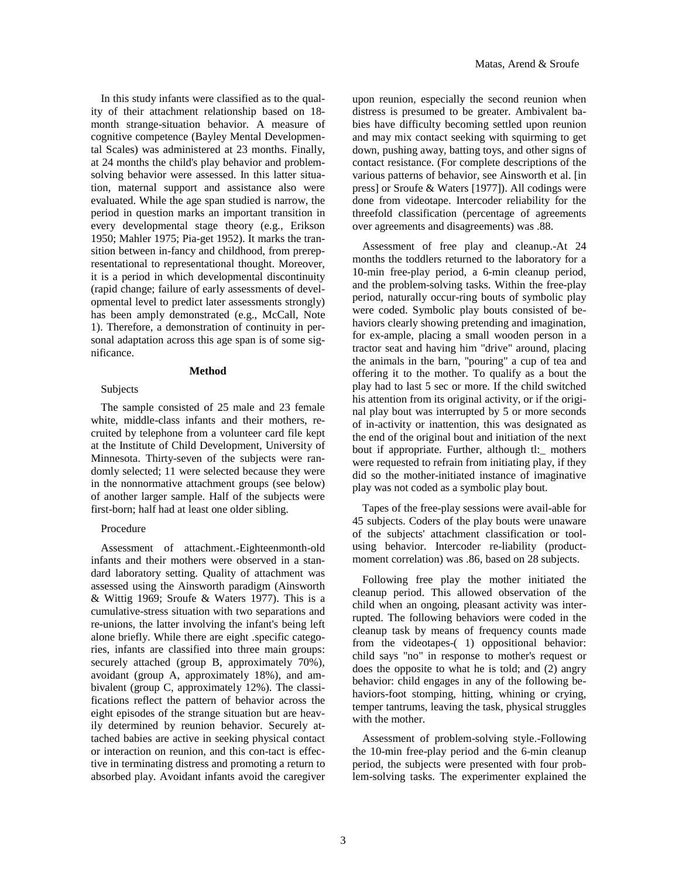In this study infants were classified as to the quality of their attachment relationship based on 18 month strange-situation behavior. A measure of cognitive competence (Bayley Mental Developmental Scales) was administered at 23 months. Finally, at 24 months the child's play behavior and problemsolving behavior were assessed. In this latter situation, maternal support and assistance also were evaluated. While the age span studied is narrow, the period in question marks an important transition in every developmental stage theory (e.g., Erikson 1950; Mahler 1975; Pia-get 1952). It marks the transition between in-fancy and childhood, from prerepresentational to representational thought. Moreover, it is a period in which developmental discontinuity (rapid change; failure of early assessments of developmental level to predict later assessments strongly) has been amply demonstrated (e.g., McCall, Note 1). Therefore, a demonstration of continuity in personal adaptation across this age span is of some significance.

#### **Method**

#### Subjects

The sample consisted of 25 male and 23 female white, middle-class infants and their mothers, recruited by telephone from a volunteer card file kept at the Institute of Child Development, University of Minnesota. Thirty-seven of the subjects were randomly selected; 11 were selected because they were in the nonnormative attachment groups (see below) of another larger sample. Half of the subjects were first-born; half had at least one older sibling.

#### Procedure

Assessment of attachment.-Eighteenmonth-old infants and their mothers were observed in a standard laboratory setting. Quality of attachment was assessed using the Ainsworth paradigm (Ainsworth & Wittig 1969; Sroufe & Waters 1977). This is a cumulative-stress situation with two separations and re-unions, the latter involving the infant's being left alone briefly. While there are eight .specific categories, infants are classified into three main groups: securely attached (group B, approximately 70%), avoidant (group A, approximately 18%), and ambivalent (group C, approximately 12%). The classifications reflect the pattern of behavior across the eight episodes of the strange situation but are heavily determined by reunion behavior. Securely attached babies are active in seeking physical contact or interaction on reunion, and this con-tact is effective in terminating distress and promoting a return to absorbed play. Avoidant infants avoid the caregiver upon reunion, especially the second reunion when distress is presumed to be greater. Ambivalent babies have difficulty becoming settled upon reunion and may mix contact seeking with squirming to get down, pushing away, batting toys, and other signs of contact resistance. (For complete descriptions of the various patterns of behavior, see Ainsworth et al. [in press] or Sroufe & Waters [1977]). All codings were done from videotape. Intercoder reliability for the threefold classification (percentage of agreements over agreements and disagreements) was .88.

Assessment of free play and cleanup.-At 24 months the toddlers returned to the laboratory for a 10-min free-play period, a 6-min cleanup period, and the problem-solving tasks. Within the free-play period, naturally occur-ring bouts of symbolic play were coded. Symbolic play bouts consisted of behaviors clearly showing pretending and imagination, for ex-ample, placing a small wooden person in a tractor seat and having him "drive" around, placing the animals in the barn, "pouring" a cup of tea and offering it to the mother. To qualify as a bout the play had to last 5 sec or more. If the child switched his attention from its original activity, or if the original play bout was interrupted by 5 or more seconds of in-activity or inattention, this was designated as the end of the original bout and initiation of the next bout if appropriate. Further, although tl:\_ mothers were requested to refrain from initiating play, if they did so the mother-initiated instance of imaginative play was not coded as a symbolic play bout.

Tapes of the free-play sessions were avail-able for 45 subjects. Coders of the play bouts were unaware of the subjects' attachment classification or toolusing behavior. Intercoder re-liability (productmoment correlation) was .86, based on 28 subjects.

Following free play the mother initiated the cleanup period. This allowed observation of the child when an ongoing, pleasant activity was interrupted. The following behaviors were coded in the cleanup task by means of frequency counts made from the videotapes-( 1) oppositional behavior: child says "no" in response to mother's request or does the opposite to what he is told; and (2) angry behavior: child engages in any of the following behaviors-foot stomping, hitting, whining or crying, temper tantrums, leaving the task, physical struggles with the mother.

Assessment of problem-solving style.-Following the 10-min free-play period and the 6-min cleanup period, the subjects were presented with four problem-solving tasks. The experimenter explained the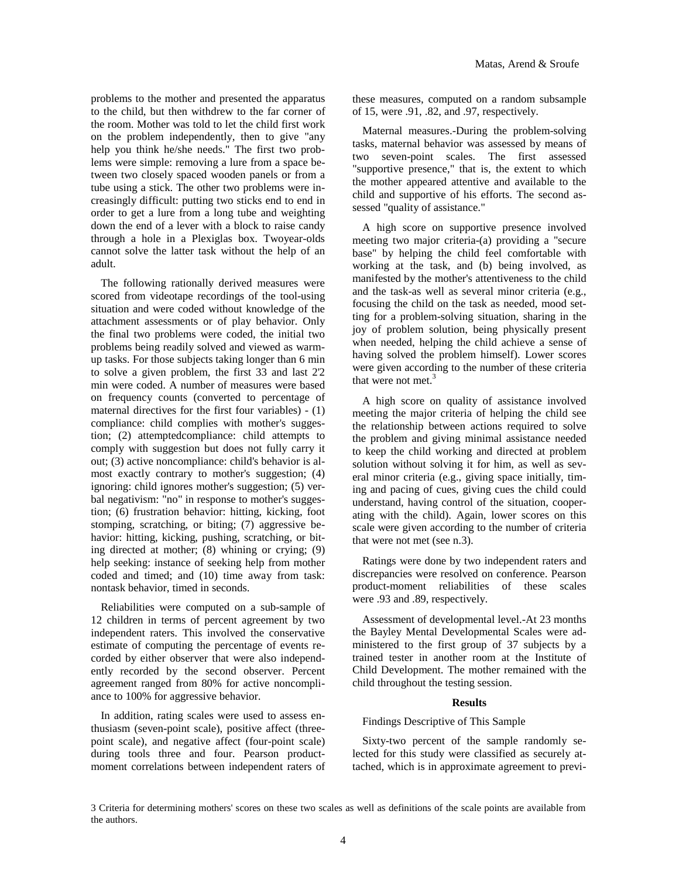problems to the mother and presented the apparatus to the child, but then withdrew to the far corner of the room. Mother was told to let the child first work on the problem independently, then to give "any help you think he/she needs." The first two problems were simple: removing a lure from a space between two closely spaced wooden panels or from a tube using a stick. The other two problems were increasingly difficult: putting two sticks end to end in order to get a lure from a long tube and weighting down the end of a lever with a block to raise candy through a hole in a Plexiglas box. Twoyear-olds cannot solve the latter task without the help of an adult.

The following rationally derived measures were scored from videotape recordings of the tool-using situation and were coded without knowledge of the attachment assessments or of play behavior. Only the final two problems were coded, the initial two problems being readily solved and viewed as warmup tasks. For those subjects taking longer than 6 min to solve a given problem, the first 33 and last 2'2 min were coded. A number of measures were based on frequency counts (converted to percentage of maternal directives for the first four variables) - (1) compliance: child complies with mother's suggestion; (2) attemptedcompliance: child attempts to comply with suggestion but does not fully carry it out; (3) active noncompliance: child's behavior is almost exactly contrary to mother's suggestion; (4) ignoring: child ignores mother's suggestion; (5) verbal negativism: "no" in response to mother's suggestion; (6) frustration behavior: hitting, kicking, foot stomping, scratching, or biting; (7) aggressive behavior: hitting, kicking, pushing, scratching, or biting directed at mother; (8) whining or crying; (9) help seeking: instance of seeking help from mother coded and timed; and (10) time away from task: nontask behavior, timed in seconds.

Reliabilities were computed on a sub-sample of 12 children in terms of percent agreement by two independent raters. This involved the conservative estimate of computing the percentage of events recorded by either observer that were also independently recorded by the second observer. Percent agreement ranged from 80% for active noncompliance to 100% for aggressive behavior.

In addition, rating scales were used to assess enthusiasm (seven-point scale), positive affect (threepoint scale), and negative affect (four-point scale) during tools three and four. Pearson productmoment correlations between independent raters of these measures, computed on a random subsample of 15, were .91, .82, and .97, respectively.

Maternal measures.-During the problem-solving tasks, maternal behavior was assessed by means of two seven-point scales. The first assessed "supportive presence," that is, the extent to which the mother appeared attentive and available to the child and supportive of his efforts. The second assessed "quality of assistance."

A high score on supportive presence involved meeting two major criteria-(a) providing a "secure base" by helping the child feel comfortable with working at the task, and (b) being involved, as manifested by the mother's attentiveness to the child and the task-as well as several minor criteria (e.g., focusing the child on the task as needed, mood setting for a problem-solving situation, sharing in the joy of problem solution, being physically present when needed, helping the child achieve a sense of having solved the problem himself). Lower scores were given according to the number of these criteria that were not met.<sup>3</sup>

A high score on quality of assistance involved meeting the major criteria of helping the child see the relationship between actions required to solve the problem and giving minimal assistance needed to keep the child working and directed at problem solution without solving it for him, as well as several minor criteria (e.g., giving space initially, timing and pacing of cues, giving cues the child could understand, having control of the situation, cooperating with the child). Again, lower scores on this scale were given according to the number of criteria that were not met (see n.3).

Ratings were done by two independent raters and discrepancies were resolved on conference. Pearson product-moment reliabilities of these scales were .93 and .89, respectively.

Assessment of developmental level.-At 23 months the Bayley Mental Developmental Scales were administered to the first group of 37 subjects by a trained tester in another room at the Institute of Child Development. The mother remained with the child throughout the testing session.

## **Results**

#### Findings Descriptive of This Sample

Sixty-two percent of the sample randomly selected for this study were classified as securely attached, which is in approximate agreement to previ-

<sup>3</sup> Criteria for determining mothers' scores on these two scales as well as definitions of the scale points are available from the authors.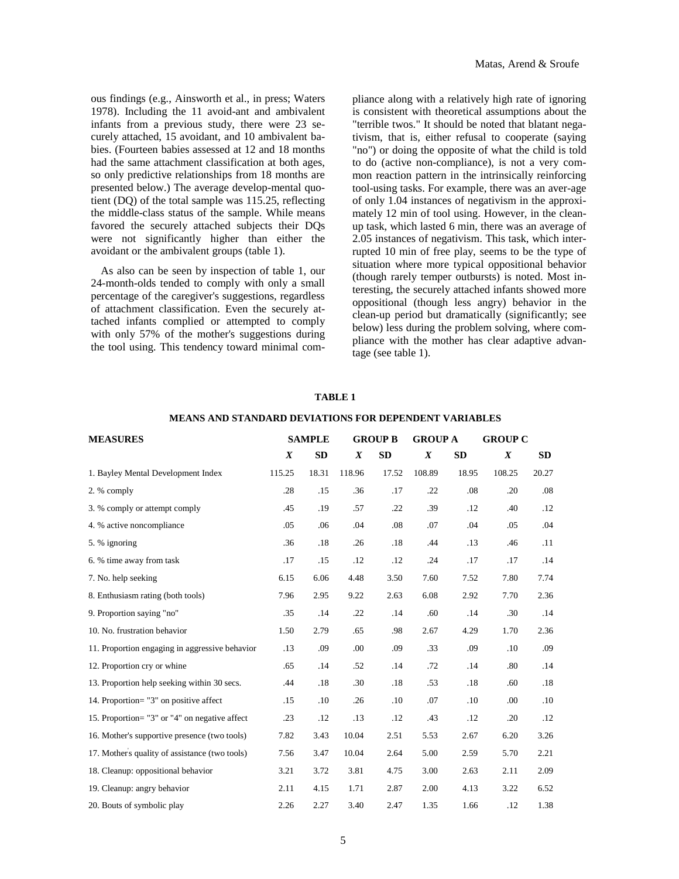ous findings (e.g., Ainsworth et al., in press; Waters 1978). Including the 11 avoid-ant and ambivalent infants from a previous study, there were 23 securely attached, 15 avoidant, and 10 ambivalent babies. (Fourteen babies assessed at 12 and 18 months had the same attachment classification at both ages, so only predictive relationships from 18 months are presented below.) The average develop-mental quotient (DQ) of the total sample was 115.25, reflecting the middle-class status of the sample. While means favored the securely attached subjects their DQs were not significantly higher than either the avoidant or the ambivalent groups (table 1).

As also can be seen by inspection of table 1, our 24-month-olds tended to comply with only a small percentage of the caregiver's suggestions, regardless of attachment classification. Even the securely attached infants complied or attempted to comply with only 57% of the mother's suggestions during the tool using. This tendency toward minimal compliance along with a relatively high rate of ignoring is consistent with theoretical assumptions about the "terrible twos." It should be noted that blatant negativism, that is, either refusal to cooperate (saying "no") or doing the opposite of what the child is told to do (active non-compliance), is not a very common reaction pattern in the intrinsically reinforcing tool-using tasks. For example, there was an aver-age of only 1.04 instances of negativism in the approximately 12 min of tool using. However, in the cleanup task, which lasted 6 min, there was an average of 2.05 instances of negativism. This task, which interrupted 10 min of free play, seems to be the type of situation where more typical oppositional behavior (though rarely temper outbursts) is noted. Most interesting, the securely attached infants showed more oppositional (though less angry) behavior in the clean-up period but dramatically (significantly; see below) less during the problem solving, where compliance with the mother has clear adaptive advantage (see table 1).

| <b>MEASURES</b>                                | <b>SAMPLE</b>    |           | <b>GROUP B</b>   |       | <b>GROUP A</b>   |           | <b>GROUP C</b>   |           |
|------------------------------------------------|------------------|-----------|------------------|-------|------------------|-----------|------------------|-----------|
|                                                | $\boldsymbol{X}$ | <b>SD</b> | $\boldsymbol{X}$ | SD    | $\boldsymbol{X}$ | <b>SD</b> | $\boldsymbol{X}$ | <b>SD</b> |
| 1. Bayley Mental Development Index             | 115.25           | 18.31     | 118.96           | 17.52 | 108.89           | 18.95     | 108.25           | 20.27     |
| 2. % comply                                    | .28              | .15       | .36              | .17   | .22              | .08       | .20              | .08       |
| 3. % comply or attempt comply                  | .45              | .19       | .57              | .22   | .39              | .12       | .40              | .12       |
| 4. % active noncompliance                      | .05              | .06       | .04              | .08   | .07              | .04       | .05              | .04       |
| 5. % ignoring                                  | .36              | .18       | .26              | .18   | .44              | .13       | .46              | .11       |
| 6. % time away from task                       | .17              | .15       | .12              | .12   | .24              | .17       | .17              | .14       |
| 7. No. help seeking                            | 6.15             | 6.06      | 4.48             | 3.50  | 7.60             | 7.52      | 7.80             | 7.74      |
| 8. Enthusiasm rating (both tools)              | 7.96             | 2.95      | 9.22             | 2.63  | 6.08             | 2.92      | 7.70             | 2.36      |
| 9. Proportion saying "no"                      | .35              | .14       | .22              | .14   | .60              | .14       | .30              | .14       |
| 10. No. frustration behavior                   | 1.50             | 2.79      | .65              | .98   | 2.67             | 4.29      | 1.70             | 2.36      |
| 11. Proportion engaging in aggressive behavior | .13              | .09       | .00.             | .09   | .33              | .09       | .10              | .09       |
| 12. Proportion cry or whine                    | .65              | .14       | .52              | .14   | .72              | .14       | .80              | .14       |
| 13. Proportion help seeking within 30 secs.    | .44              | .18       | .30              | .18   | .53              | .18       | .60              | .18       |
| 14. Proportion= "3" on positive affect         | .15              | .10       | .26              | .10   | .07              | .10       | .00              | .10       |
| 15. Proportion= "3" or "4" on negative affect  | .23              | .12       | .13              | .12   | .43              | .12       | .20              | .12       |
| 16. Mother's supportive presence (two tools)   | 7.82             | 3.43      | 10.04            | 2.51  | 5.53             | 2.67      | 6.20             | 3.26      |
| 17. Mothers quality of assistance (two tools)  | 7.56             | 3.47      | 10.04            | 2.64  | 5.00             | 2.59      | 5.70             | 2.21      |
| 18. Cleanup: oppositional behavior             | 3.21             | 3.72      | 3.81             | 4.75  | 3.00             | 2.63      | 2.11             | 2.09      |
| 19. Cleanup: angry behavior                    | 2.11             | 4.15      | 1.71             | 2.87  | 2.00             | 4.13      | 3.22             | 6.52      |
| 20. Bouts of symbolic play                     | 2.26             | 2.27      | 3.40             | 2.47  | 1.35             | 1.66      | .12              | 1.38      |

# **TABLE 1**

#### **MEANS AND STANDARD DEVIATIONS FOR DEPENDENT VARIABLES**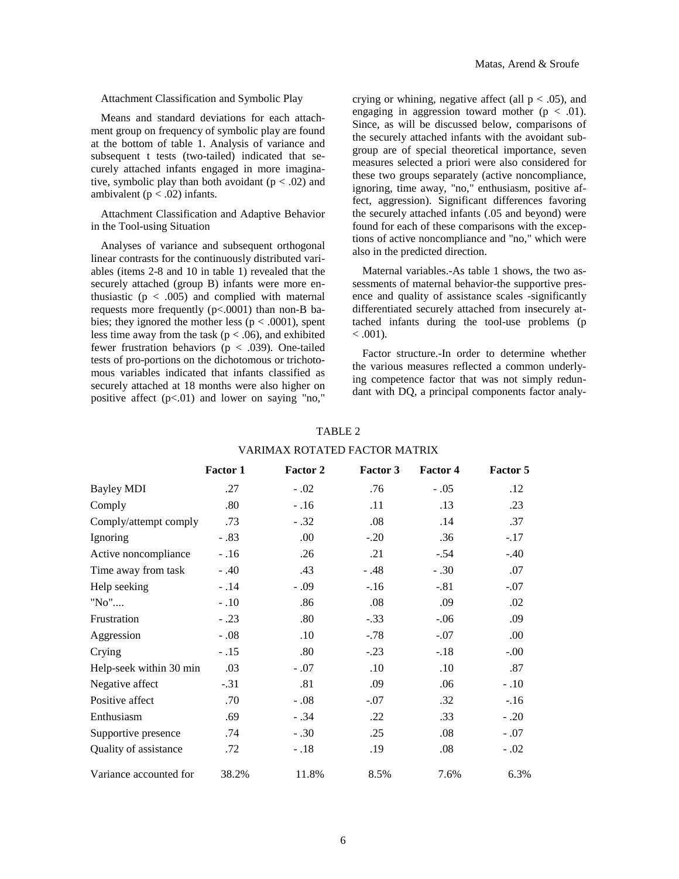#### Attachment Classification and Symbolic Play

Means and standard deviations for each attachment group on frequency of symbolic play are found at the bottom of table 1. Analysis of variance and subsequent t tests (two-tailed) indicated that securely attached infants engaged in more imaginative, symbolic play than both avoidant  $(p < .02)$  and ambivalent ( $p < .02$ ) infants.

Attachment Classification and Adaptive Behavior in the Tool-using Situation

Analyses of variance and subsequent orthogonal linear contrasts for the continuously distributed variables (items 2-8 and 10 in table 1) revealed that the securely attached (group B) infants were more enthusiastic ( $p < .005$ ) and complied with maternal requests more frequently (p<.0001) than non-B babies; they ignored the mother less ( $p < .0001$ ), spent less time away from the task ( $p < .06$ ), and exhibited fewer frustration behaviors ( $p < .039$ ). One-tailed tests of pro-portions on the dichotomous or trichotomous variables indicated that infants classified as securely attached at 18 months were also higher on positive affect  $(p<.01)$  and lower on saying "no,"

crying or whining, negative affect (all  $p < .05$ ), and engaging in aggression toward mother  $(p < .01)$ . Since, as will be discussed below, comparisons of the securely attached infants with the avoidant subgroup are of special theoretical importance, seven measures selected a priori were also considered for these two groups separately (active noncompliance, ignoring, time away, "no," enthusiasm, positive affect, aggression). Significant differences favoring the securely attached infants (.05 and beyond) were found for each of these comparisons with the exceptions of active noncompliance and "no," which were also in the predicted direction.

Maternal variables.-As table 1 shows, the two assessments of maternal behavior-the supportive presence and quality of assistance scales -significantly differentiated securely attached from insecurely attached infants during the tool-use problems (p  $< .001$ ).

Factor structure.-In order to determine whether the various measures reflected a common underlying competence factor that was not simply redundant with DQ, a principal components factor analy-

|                         | <b>Factor 1</b> | <b>Factor 2</b> | <b>Factor 3</b> | <b>Factor 4</b> | Factor 5 |
|-------------------------|-----------------|-----------------|-----------------|-----------------|----------|
| <b>Bayley MDI</b>       | .27             | $-.02$          | .76             | $-.05$          | .12      |
| Comply                  | .80             | $-.16$          | .11             | .13             | .23      |
| Comply/attempt comply   | .73             | $-.32$          | .08             | .14             | .37      |
| Ignoring                | $-.83$          | .00.            | $-.20$          | .36             | $-.17$   |
| Active noncompliance    | $-.16$          | .26             | .21             | $-.54$          | $-.40$   |
| Time away from task     | $-.40$          | .43             | $-.48$          | $-.30$          | .07      |
| Help seeking            | $-.14$          | $-.09$          | $-.16$          | $-.81$          | $-.07$   |
| "No"                    | $-.10$          | .86             | .08             | .09             | .02      |
| Frustration             | $-.23$          | .80             | $-.33$          | $-.06$          | .09      |
| Aggression              | $-.08$          | .10             | $-.78$          | $-.07$          | .00      |
| Crying                  | $-.15$          | .80             | $-.23$          | $-.18$          | $-.00$   |
| Help-seek within 30 min | .03             | $-.07$          | $.10\,$         | .10             | .87      |
| Negative affect         | $-.31$          | .81             | .09             | .06             | $-.10$   |
| Positive affect         | .70             | $-.08$          | $-.07$          | .32             | $-.16$   |
| Enthusiasm              | .69             | $-.34$          | .22             | .33             | $-.20$   |
| Supportive presence     | .74             | $-.30$          | .25             | .08             | $-.07$   |
| Quality of assistance   | .72             | $-.18$          | .19             | .08             | $-.02$   |
| Variance accounted for  | 38.2%           | 11.8%           | 8.5%            | 7.6%            | 6.3%     |

# TABLE 2 VARIMAX ROTATED FACTOR MATRIX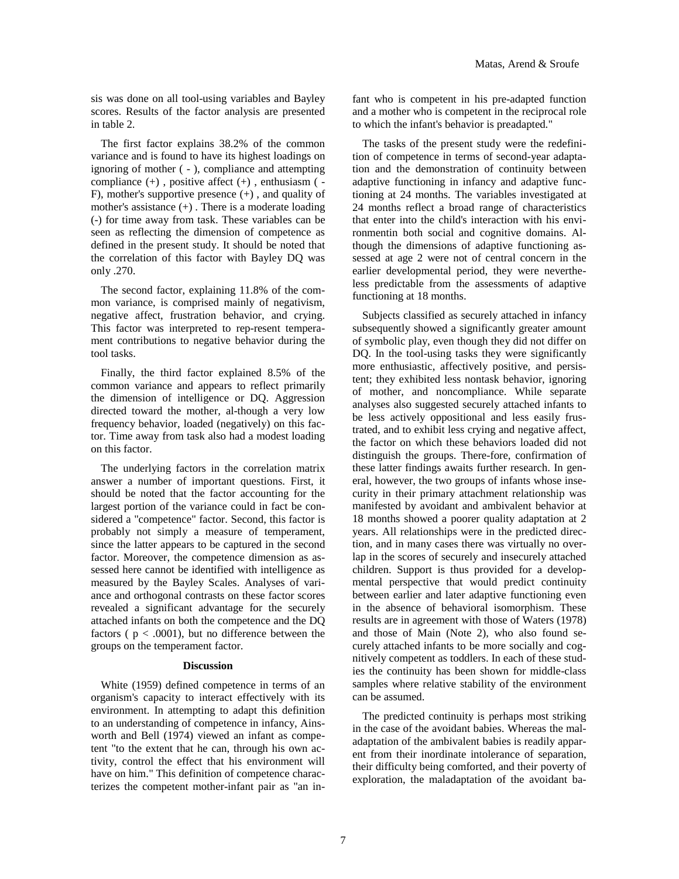sis was done on all tool-using variables and Bayley scores. Results of the factor analysis are presented in table 2.

The first factor explains 38.2% of the common variance and is found to have its highest loadings on ignoring of mother ( - ), compliance and attempting compliance (+) , positive affect (+) , enthusiasm ( - F), mother's supportive presence  $(+)$ , and quality of mother's assistance (+) . There is a moderate loading (-) for time away from task. These variables can be seen as reflecting the dimension of competence as defined in the present study. It should be noted that the correlation of this factor with Bayley DQ was only .270.

The second factor, explaining 11.8% of the common variance, is comprised mainly of negativism, negative affect, frustration behavior, and crying. This factor was interpreted to rep-resent temperament contributions to negative behavior during the tool tasks.

Finally, the third factor explained 8.5% of the common variance and appears to reflect primarily the dimension of intelligence or DQ. Aggression directed toward the mother, al-though a very low frequency behavior, loaded (negatively) on this factor. Time away from task also had a modest loading on this factor.

The underlying factors in the correlation matrix answer a number of important questions. First, it should be noted that the factor accounting for the largest portion of the variance could in fact be considered a "competence" factor. Second, this factor is probably not simply a measure of temperament, since the latter appears to be captured in the second factor. Moreover, the competence dimension as assessed here cannot be identified with intelligence as measured by the Bayley Scales. Analyses of variance and orthogonal contrasts on these factor scores revealed a significant advantage for the securely attached infants on both the competence and the DQ factors ( $p < .0001$ ), but no difference between the groups on the temperament factor.

# **Discussion**

White (1959) defined competence in terms of an organism's capacity to interact effectively with its environment. In attempting to adapt this definition to an understanding of competence in infancy, Ainsworth and Bell (1974) viewed an infant as competent "to the extent that he can, through his own activity, control the effect that his environment will have on him." This definition of competence characterizes the competent mother-infant pair as "an infant who is competent in his pre-adapted function and a mother who is competent in the reciprocal role to which the infant's behavior is preadapted."

The tasks of the present study were the redefinition of competence in terms of second-year adaptation and the demonstration of continuity between adaptive functioning in infancy and adaptive functioning at 24 months. The variables investigated at 24 months reflect a broad range of characteristics that enter into the child's interaction with his environmentin both social and cognitive domains. Although the dimensions of adaptive functioning assessed at age 2 were not of central concern in the earlier developmental period, they were nevertheless predictable from the assessments of adaptive functioning at 18 months.

Subjects classified as securely attached in infancy subsequently showed a significantly greater amount of symbolic play, even though they did not differ on DQ. In the tool-using tasks they were significantly more enthusiastic, affectively positive, and persistent; they exhibited less nontask behavior, ignoring of mother, and noncompliance. While separate analyses also suggested securely attached infants to be less actively oppositional and less easily frustrated, and to exhibit less crying and negative affect, the factor on which these behaviors loaded did not distinguish the groups. There-fore, confirmation of these latter findings awaits further research. In general, however, the two groups of infants whose insecurity in their primary attachment relationship was manifested by avoidant and ambivalent behavior at 18 months showed a poorer quality adaptation at 2 years. All relationships were in the predicted direction, and in many cases there was virtually no overlap in the scores of securely and insecurely attached children. Support is thus provided for a developmental perspective that would predict continuity between earlier and later adaptive functioning even in the absence of behavioral isomorphism. These results are in agreement with those of Waters (1978) and those of Main (Note 2), who also found securely attached infants to be more socially and cognitively competent as toddlers. In each of these studies the continuity has been shown for middle-class samples where relative stability of the environment can be assumed.

The predicted continuity is perhaps most striking in the case of the avoidant babies. Whereas the maladaptation of the ambivalent babies is readily apparent from their inordinate intolerance of separation, their difficulty being comforted, and their poverty of exploration, the maladaptation of the avoidant ba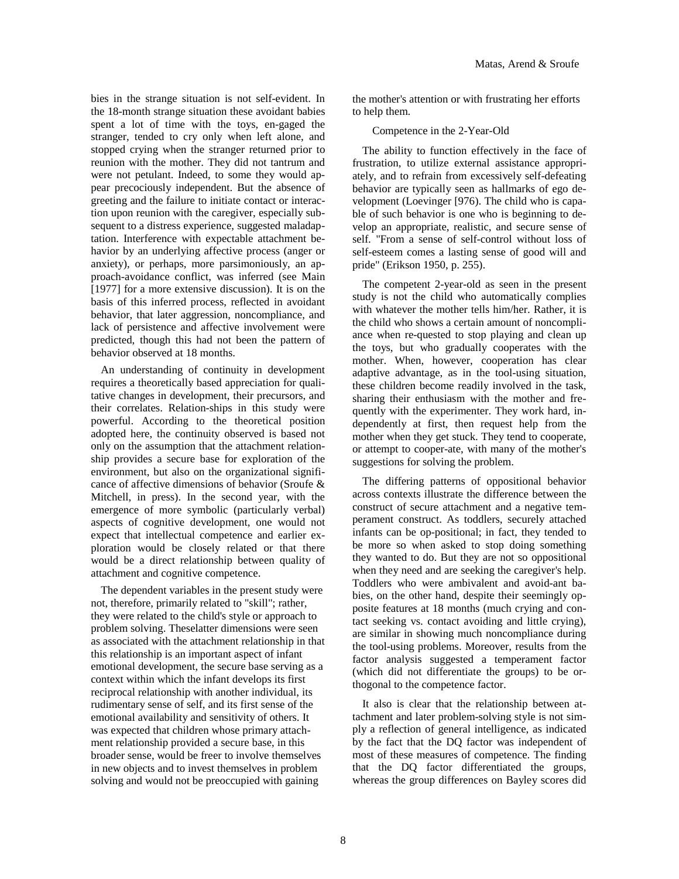bies in the strange situation is not self-evident. In the 18-month strange situation these avoidant babies spent a lot of time with the toys, en-gaged the stranger, tended to cry only when left alone, and stopped crying when the stranger returned prior to reunion with the mother. They did not tantrum and were not petulant. Indeed, to some they would appear precociously independent. But the absence of greeting and the failure to initiate contact or interaction upon reunion with the caregiver, especially subsequent to a distress experience, suggested maladaptation. Interference with expectable attachment behavior by an underlying affective process (anger or anxiety), or perhaps, more parsimoniously, an approach-avoidance conflict, was inferred (see Main [1977] for a more extensive discussion). It is on the basis of this inferred process, reflected in avoidant behavior, that later aggression, noncompliance, and lack of persistence and affective involvement were predicted, though this had not been the pattern of behavior observed at 18 months.

An understanding of continuity in development requires a theoretically based appreciation for qualitative changes in development, their precursors, and their correlates. Relation-ships in this study were powerful. According to the theoretical position adopted here, the continuity observed is based not only on the assumption that the attachment relationship provides a secure base for exploration of the environment, but also on the organizational significance of affective dimensions of behavior (Sroufe & Mitchell, in press). In the second year, with the emergence of more symbolic (particularly verbal) aspects of cognitive development, one would not expect that intellectual competence and earlier exploration would be closely related or that there would be a direct relationship between quality of attachment and cognitive competence.

The dependent variables in the present study were not, therefore, primarily related to "skill"; rather, they were related to the child's style or approach to problem solving. Theselatter dimensions were seen as associated with the attachment relationship in that this relationship is an important aspect of infant emotional development, the secure base serving as a context within which the infant develops its first reciprocal relationship with another individual, its rudimentary sense of self, and its first sense of the emotional availability and sensitivity of others. It was expected that children whose primary attachment relationship provided a secure base, in this broader sense, would be freer to involve themselves in new objects and to invest themselves in problem solving and would not be preoccupied with gaining

the mother's attention or with frustrating her efforts to help them.

#### Competence in the 2-Year-Old

The ability to function effectively in the face of frustration, to utilize external assistance appropriately, and to refrain from excessively self-defeating behavior are typically seen as hallmarks of ego development (Loevinger [976). The child who is capable of such behavior is one who is beginning to develop an appropriate, realistic, and secure sense of self. "From a sense of self-control without loss of self-esteem comes a lasting sense of good will and pride" (Erikson 1950, p. 255).

The competent 2-year-old as seen in the present study is not the child who automatically complies with whatever the mother tells him/her. Rather, it is the child who shows a certain amount of noncompliance when re-quested to stop playing and clean up the toys, but who gradually cooperates with the mother. When, however, cooperation has clear adaptive advantage, as in the tool-using situation, these children become readily involved in the task, sharing their enthusiasm with the mother and frequently with the experimenter. They work hard, independently at first, then request help from the mother when they get stuck. They tend to cooperate, or attempt to cooper-ate, with many of the mother's suggestions for solving the problem.

The differing patterns of oppositional behavior across contexts illustrate the difference between the construct of secure attachment and a negative temperament construct. As toddlers, securely attached infants can be op-positional; in fact, they tended to be more so when asked to stop doing something they wanted to do. But they are not so oppositional when they need and are seeking the caregiver's help. Toddlers who were ambivalent and avoid-ant babies, on the other hand, despite their seemingly opposite features at 18 months (much crying and contact seeking vs. contact avoiding and little crying), are similar in showing much noncompliance during the tool-using problems. Moreover, results from the factor analysis suggested a temperament factor (which did not differentiate the groups) to be orthogonal to the competence factor.

It also is clear that the relationship between attachment and later problem-solving style is not simply a reflection of general intelligence, as indicated by the fact that the DQ factor was independent of most of these measures of competence. The finding that the DQ factor differentiated the groups, whereas the group differences on Bayley scores did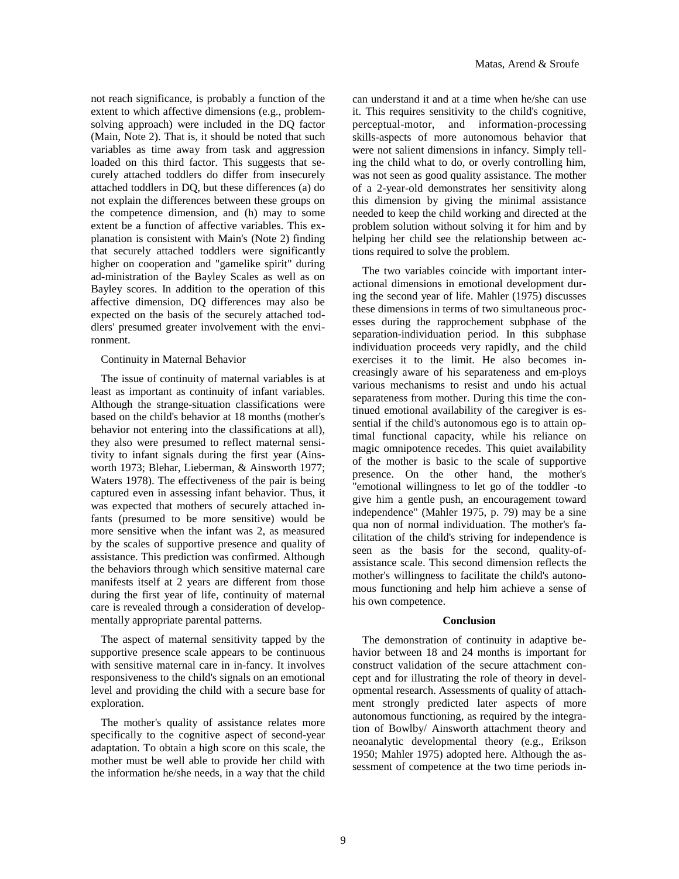not reach significance, is probably a function of the extent to which affective dimensions (e.g., problemsolving approach) were included in the DQ factor (Main, Note 2). That is, it should be noted that such variables as time away from task and aggression loaded on this third factor. This suggests that securely attached toddlers do differ from insecurely attached toddlers in DQ, but these differences (a) do not explain the differences between these groups on the competence dimension, and (h) may to some extent be a function of affective variables. This explanation is consistent with Main's (Note 2) finding that securely attached toddlers were significantly higher on cooperation and "gamelike spirit" during ad-ministration of the Bayley Scales as well as on Bayley scores. In addition to the operation of this affective dimension, DQ differences may also be expected on the basis of the securely attached toddlers' presumed greater involvement with the environment.

# Continuity in Maternal Behavior

The issue of continuity of maternal variables is at least as important as continuity of infant variables. Although the strange-situation classifications were based on the child's behavior at 18 months (mother's behavior not entering into the classifications at all), they also were presumed to reflect maternal sensitivity to infant signals during the first year (Ainsworth 1973; Blehar, Lieberman, & Ainsworth 1977; Waters 1978). The effectiveness of the pair is being captured even in assessing infant behavior. Thus, it was expected that mothers of securely attached infants (presumed to be more sensitive) would be more sensitive when the infant was 2, as measured by the scales of supportive presence and quality of assistance. This prediction was confirmed. Although the behaviors through which sensitive maternal care manifests itself at 2 years are different from those during the first year of life, continuity of maternal care is revealed through a consideration of developmentally appropriate parental patterns.

The aspect of maternal sensitivity tapped by the supportive presence scale appears to be continuous with sensitive maternal care in in-fancy. It involves responsiveness to the child's signals on an emotional level and providing the child with a secure base for exploration.

The mother's quality of assistance relates more specifically to the cognitive aspect of second-year adaptation. To obtain a high score on this scale, the mother must be well able to provide her child with the information he/she needs, in a way that the child can understand it and at a time when he/she can use it. This requires sensitivity to the child's cognitive, perceptual-motor, and information-processing skills-aspects of more autonomous behavior that were not salient dimensions in infancy. Simply telling the child what to do, or overly controlling him, was not seen as good quality assistance. The mother of a 2-year-old demonstrates her sensitivity along this dimension by giving the minimal assistance needed to keep the child working and directed at the problem solution without solving it for him and by helping her child see the relationship between actions required to solve the problem.

The two variables coincide with important interactional dimensions in emotional development during the second year of life. Mahler (1975) discusses these dimensions in terms of two simultaneous processes during the rapprochement subphase of the separation-individuation period. In this subphase individuation proceeds very rapidly, and the child exercises it to the limit. He also becomes increasingly aware of his separateness and em-ploys various mechanisms to resist and undo his actual separateness from mother. During this time the continued emotional availability of the caregiver is essential if the child's autonomous ego is to attain optimal functional capacity, while his reliance on magic omnipotence recedes. This quiet availability of the mother is basic to the scale of supportive presence. On the other hand, the mother's "emotional willingness to let go of the toddler -to give him a gentle push, an encouragement toward independence" (Mahler 1975, p. 79) may be a sine qua non of normal individuation. The mother's facilitation of the child's striving for independence is seen as the basis for the second, quality-ofassistance scale. This second dimension reflects the mother's willingness to facilitate the child's autonomous functioning and help him achieve a sense of his own competence.

#### **Conclusion**

The demonstration of continuity in adaptive behavior between 18 and 24 months is important for construct validation of the secure attachment concept and for illustrating the role of theory in developmental research. Assessments of quality of attachment strongly predicted later aspects of more autonomous functioning, as required by the integration of Bowlby/ Ainsworth attachment theory and neoanalytic developmental theory (e.g., Erikson 1950; Mahler 1975) adopted here. Although the assessment of competence at the two time periods in